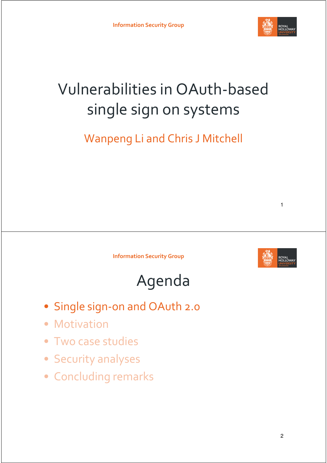

## Vulnerabilities in OAuth-based single sign on systems

Wanpeng Li and Chris J Mitchell





1

#### Agenda

- Single sign-on and OAuth 2.0
- Motivation
- Two case studies
- Security analyses
- Concluding remarks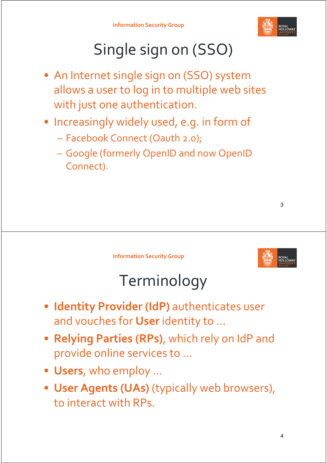

# Single sign on (SSO)

- An Internet single sign on (SSO) system allows a user to log in to multiple web sites with just one authentication.
- Increasingly widely used, e.g. in form of
	- Facebook Connect (Oauth 2.0);
	- Google (formerly OpenID and now OpenID Connect).

**Information Security Group**



## Terminology

- **Identity Provider (IdP)** authenticates user and vouches for **User** identity to …
- **Relying Parties (RPs)**, which rely on IdP and provide online services to …
- **Users**, who employ …
- **User Agents (UAs)** (typically web browsers), to interact with RPs.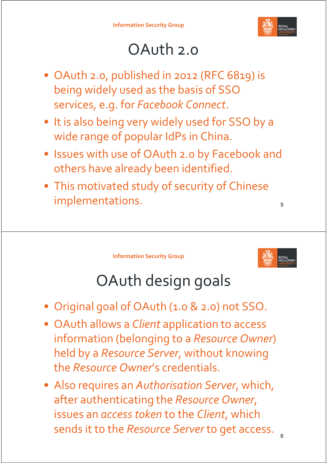

## OAuth 2.0

- OAuth 2.0, published in 2012 (RFC 6819) is being widely used as the basis of SSO services, e.g. for *Facebook Connect*.
- It is also being very widely used for SSO by a wide range of popular IdPs in China.
- Issues with use of OAuth 2.0 by Facebook and others have already been identified.
- This motivated study of security of Chinese implementations.

**Information Security Group**



6

# OAuth design goals

- Original goal of OAuth (1.0 & 2.0) not SSO.
- OAuth allows a *Client* application to access information (belonging to a *Resource Owner*) held by a *Resource Server*, without knowing the *Resource Owner*'s credentials.
- Also requires an *Authorisation Server*, which, after authenticating the *Resource Owner*, issues an *access token* to the *Client*, which sends it to the *Resource Server* to get access.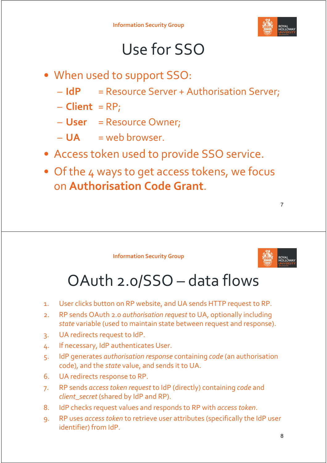

#### Use for SSO

- When used to support SSO:
	- **IdP** = Resource Server + Authorisation Server;
	- $-$  **Client** = RP;
	- **User** = Resource Owner;
	- **UA** = web browser.
- Access token used to provide SSO service.
- Of the 4 ways to get access tokens, we focus on **Authorisation Code Grant**.





7

#### OAuth 2.0/SSO – data flows

- 1. User clicks button on RP website, and UA sends HTTP request to RP.
- 2. RP sends OAuth 2.0 *authorisation request* to UA, optionally including *state* variable (used to maintain state between request and response).
- 3. UA redirects request to IdP.
- 4. If necessary, IdP authenticates User.
- 5. IdP generates *authorisation response* containing *code* (an authorisation code), and the *state* value, and sends it to UA.
- 6. UA redirects response to RP.
- 7. RP sends *access token request* to IdP (directly) containing *code* and *client\_secret* (shared by IdP and RP).
- 8. IdP checks request values and responds to RP with *access token*.
- 9. RP uses *access token* to retrieve user attributes (specifically the IdP user identifier) from IdP.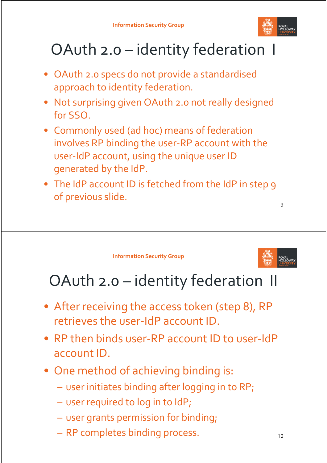

## OAuth 2.0 – identity federation I

- OAuth 2.0 specs do not provide a standardised approach to identity federation.
- Not surprising given OAuth 2.0 not really designed for SSO.
- Commonly used (ad hoc) means of federation involves RP binding the user-RP account with the user-IdP account, using the unique user ID generated by the IdP.
- The IdP account ID is fetched from the IdP in step 9 of previous slide.

**Information Security Group**



9

#### OAuth 2.0 – identity federation II

- After receiving the access token (step 8), RP retrieves the user-IdP account ID.
- RP then binds user-RP account ID to user-IdP account ID.
- One method of achieving binding is:
	- user initiates binding after logging in to RP;
	- user required to log in to IdP;
	- user grants permission for binding;
	- RP completes binding process.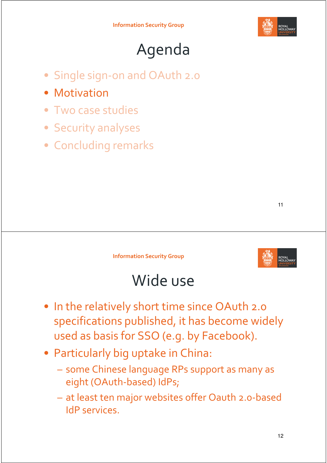

# Agenda

- Single sign-on and OAuth 2.0
- Motivation
- Two case studies
- Security analyses
- Concluding remarks



**Information Security Group**



#### Wide use

- In the relatively short time since OAuth 2.0 specifications published, it has become widely used as basis for SSO (e.g. by Facebook).
- Particularly big uptake in China:
	- some Chinese language RPs support as many as eight (OAuth-based) IdPs;
	- at least ten major websites offer Oauth 2.0-based IdP services.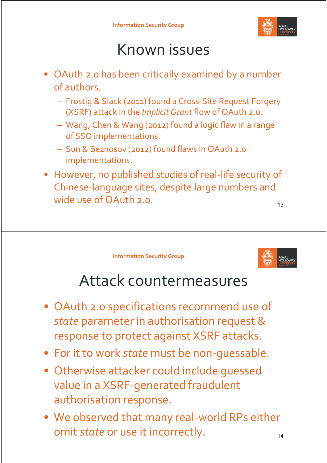

#### Known issues

- OAuth 2.0 has been critically examined by a number of authors.
	- Frostig & Slack (2011) found a Cross-Site Request Forgery (XSRF) attack in the *Implicit Grant* flow of OAuth 2.0.
	- Wang, Chen & Wang (2012) found a logic flaw in a range of SSO implementations.
	- Sun & Beznosov (2012) found flaws in OAuth 2.0 implementations.
- However, no published studies of real-life security of Chinese-language sites, despite large numbers and wide use of OAuth 2.0.

**Information Security Group**



#### Attack countermeasures

- OAuth 2.0 specifications recommend use of *state* parameter in authorisation request & response to protect against XSRF attacks.
- For it to work *state* must be non-guessable.
- Otherwise attacker could include guessed value in a XSRF-generated fraudulent authorisation response.
- We observed that many real-world RPs either omit *state* or use it incorrectly. The state of  $\frac{14}{14}$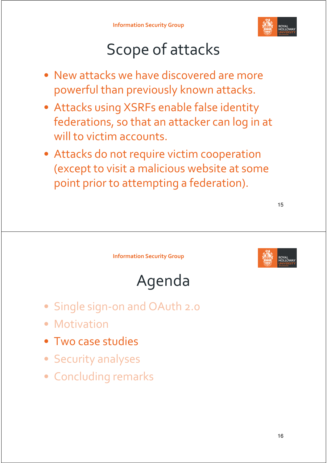

# Scope of attacks

- New attacks we have discovered are more powerful than previously known attacks.
- Attacks using XSRFs enable false identity federations, so that an attacker can log in at will to victim accounts.
- Attacks do not require victim cooperation (except to visit a malicious website at some point prior to attempting a federation).



**Information Security Group**





- Single sign-on and OAuth 2.0
- Motivation
- Two case studies
- Security analyses
- Concluding remarks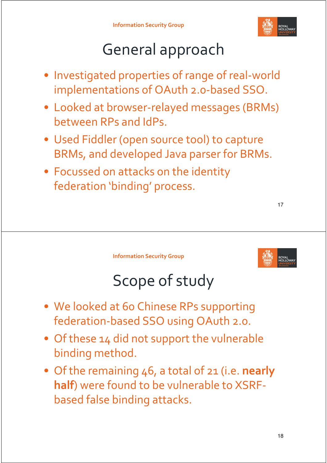

# General approach

- Investigated properties of range of real-world implementations of OAuth 2.0-based SSO.
- Looked at browser-relayed messages (BRMs) between RPs and IdPs.
- Used Fiddler (open source tool) to capture BRMs, and developed Java parser for BRMs.
- Focussed on attacks on the identity federation 'binding' process.

**Information Security Group**



## Scope of study

- We looked at 60 Chinese RPs supporting federation-based SSO using OAuth 2.0.
- Of these 14 did not support the vulnerable binding method.
- Of the remaining 46, a total of 21 (i.e. **nearly half**) were found to be vulnerable to XSRFbased false binding attacks.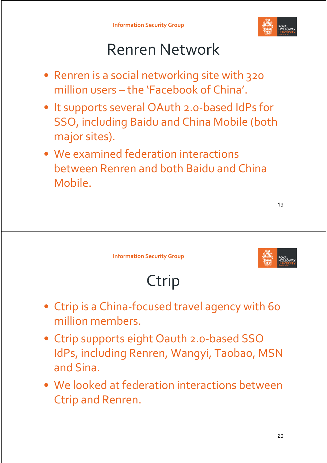

## Renren Network

- Renren is a social networking site with 320 million users – the 'Facebook of China'.
- It supports several OAuth 2.0-based IdPs for SSO, including Baidu and China Mobile (both major sites).
- We examined federation interactions between Renren and both Baidu and China Mobile.

| ۰.<br>×<br>×<br>۰. |
|--------------------|
|                    |

**Information Security Group**



# Ctrip

- Ctrip is a China-focused travel agency with 60 million members.
- Ctrip supports eight Oauth 2.0-based SSO IdPs, including Renren, Wangyi, Taobao, MSN and Sina.
- We looked at federation interactions between Ctrip and Renren.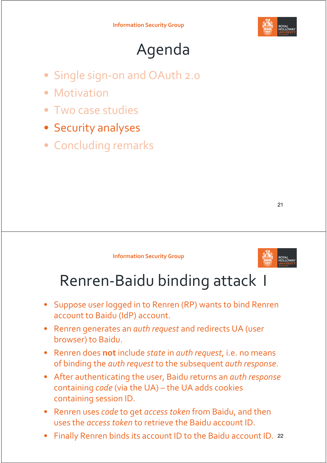

## Agenda

- Single sign-on and OAuth 2.0
- Motivation
- Two case studies
- Security analyses
- Concluding remarks

#### **Information Security Group**



#### Renren-Baidu binding attack I

- Suppose user logged in to Renren (RP) wants to bind Renren account to Baidu (IdP) account.
- Renren generates an *auth request* and redirects UA (user browser) to Baidu.
- Renren does not include *state* in *auth request*, i.e. no means of binding the *auth request* to the subsequent *auth response*.
- After authenticating the user, Baidu returns an *auth response* containing *code* (via the UA) – the UA adds cookies containing session ID.
- Renren uses *code* to get *access token* from Baidu, and then uses the *access token* to retrieve the Baidu account ID.
- Finally Renren binds its account ID to the Baidu account ID. <sup>22</sup>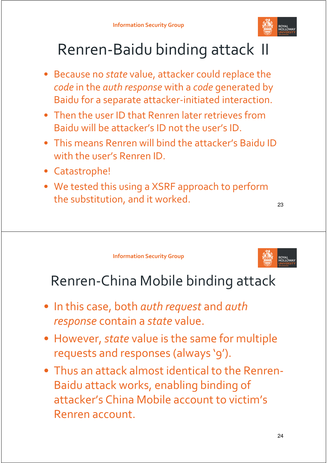

## Renren-Baidu binding attack II

- Because no *state* value, attacker could replace the *code* in the *auth response* with a *code* generated by Baidu for a separate attacker-initiated interaction.
- Then the user ID that Renren later retrieves from Baidu will be attacker's ID not the user's ID.
- This means Renren will bind the attacker's Baidu ID with the user's Renren ID.
- Catastrophe!
- We tested this using a XSRF approach to perform the substitution, and it worked.

23

**Information Security Group**



#### Renren-China Mobile binding attack

- In this case, both *auth request* and *auth response* contain a *state* value.
- However, *state* value is the same for multiple requests and responses (always '9').
- Thus an attack almost identical to the Renren-Baidu attack works, enabling binding of attacker's China Mobile account to victim's Renren account.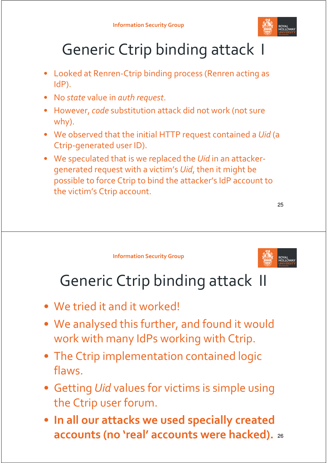

# Generic Ctrip binding attack I

- Looked at Renren-Ctrip binding process (Renren acting as IdP).
- No *state* value in *auth request*.
- However, *code* substitution attack did not work (not sure why).
- We observed that the initial HTTP request contained a *Uid* (a Ctrip-generated user ID).
- We speculated that is we replaced the *Uid* in an attackergenerated request with a victim's *Uid*, then it might be possible to force Ctrip to bind the attacker's IdP account to the victim's Ctrip account.

25

**Information Security Group**



## Generic Ctrip binding attack II

- We tried it and it worked!
- We analysed this further, and found it would work with many IdPs working with Ctrip.
- The Ctrip implementation contained logic flaws.
- Getting *Uid* values for victims is simple using the Ctrip user forum.
- **In all our attacks we used specially created accounts (no 'real' accounts were hacked).** <sup>26</sup>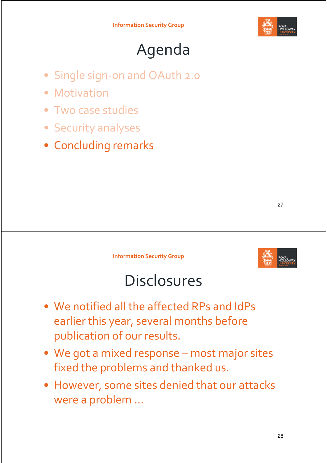

## Agenda

- Single sign-on and OAuth 2.0
- Motivation
- Two case studies
- Security analyses
- Concluding remarks

27

**Information Security Group**



#### **Disclosures**

- We notified all the affected RPs and IdPs earlier this year, several months before publication of our results.
- We got a mixed response most major sites fixed the problems and thanked us.
- However, some sites denied that our attacks were a problem ...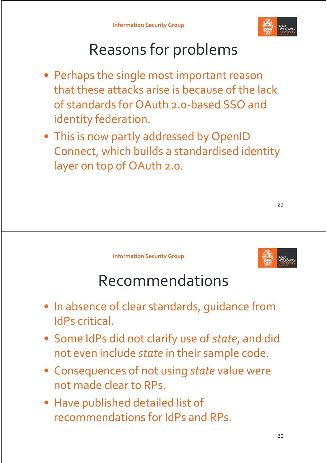

# Reasons for problems

- Perhaps the single most important reason that these attacks arise is because of the lack of standards for OAuth 2.0-based SSO and identity federation.
- This is now partly addressed by OpenID Connect, which builds a standardised identity layer on top of OAuth 2.0.

**Information Security Group**



#### Recommendations

- In absence of clear standards, guidance from IdPs critical.
- Some IdPs did not clarify use of *state*, and did not even include *state* in their sample code.
- Consequences of not using *state* value were not made clear to RPs.
- Have published detailed list of recommendations for IdPs and RPs.